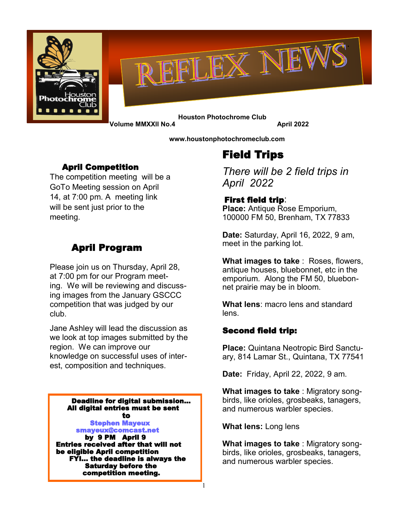



 **Houston Photochrome Club Volume MMXXII No.4** April 2022

 **www[.houstonphotochromec](http://Hpcphotoclub.wordpress.com)lub.com**

### April Competition

The competition meeting will be a GoTo Meeting session on April 14, at 7:00 pm. A meeting link will be sent just prior to the meeting.

# April Program

Please join us on Thursday, April 28, at 7:00 pm for our Program meeting. We will be reviewing and discussing images from the January GSCCC competition that was judged by our club.

Jane Ashley will lead the discussion as we look at top images submitted by the region. We can improve our knowledge on successful uses of interest, composition and techniques.

Deadline for digital submission… All digital entries must be sent to the contract of the contract of the contract of the contract of the contract of the contract of the contract of the contract of the contract of the contract of the contract of the contract of the contract of the contrac

 Stephen Mayeux smayeux@comcast.net

 by 9 PM April 9 Entries received after that will not be eligible April competition FYI… the deadline is always the Saturday before the competition meeting.

# Field Trips

*There will be 2 field trips in April 2022*

### First field trip:

**Place:** Antique Rose Emporium, 100000 FM 50, Brenham, TX 77833

**Date:** Saturday, April 16, 2022, 9 am, meet in the parking lot.

**What images to take** : Roses, flowers, antique houses, bluebonnet, etc in the emporium. Along the FM 50, bluebonnet prairie may be in bloom.

**What lens**: macro lens and standard lens.

### Second field trip:

**Place:** Quintana Neotropic Bird Sanctuary, 814 Lamar St., Quintana, TX 77541

**Date:** Friday, April 22, 2022, 9 am.

**What images to take** : Migratory songbirds, like orioles, grosbeaks, tanagers, and numerous warbler species.

**What lens:** Long lens

1

**What images to take** : Migratory songbirds, like orioles, grosbeaks, tanagers, and numerous warbler species.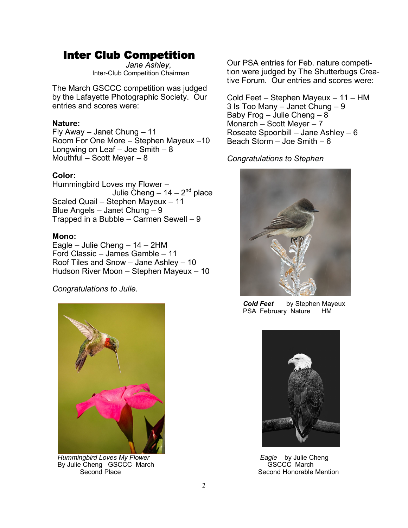# Inter Club Competition

 *Jane Ashley*, Inter-Club Competition Chairman

The March GSCCC competition was judged by the Lafayette Photographic Society. Our entries and scores were:

#### **Nature:**

Fly Away – Janet Chung – 11 Room For One More – Stephen Mayeux –10 Longwing on Leaf  $-$  Joe Smith  $-8$ Mouthful – Scott Meyer –  $8$ 

#### **Color:**

Hummingbird Loves my Flower –  $J$ ulie Cheng – 14 – 2<sup>nd</sup> place Scaled Quail – Stephen Mayeux – 11 Blue Angels – Janet Chung – 9 Trapped in a Bubble – Carmen Sewell – 9

#### **Mono:**

Eagle – Julie Cheng – 14 – 2HM Ford Classic – James Gamble – 11 Roof Tiles and Snow – Jane Ashley – 10 Hudson River Moon – Stephen Mayeux – 10

*Congratulations to Julie.*



*Hummingbird Loves My Flower* By Julie Cheng GSCCC March Second Place

Our PSA entries for Feb. nature competition were judged by The Shutterbugs Creative Forum. Our entries and scores were:

Cold Feet – Stephen Mayeux – 11 – HM 3 Is Too Many – Janet Chung – 9 Baby Frog – Julie Cheng – 8 Monarch – Scott Meyer – 7 Roseate Spoonbill – Jane Ashley – 6 Beach Storm – Joe Smith –  $6$ 

#### *Congratulations to Stephen*



*Cold Feet* by Stephen Mayeux PSA February Nature HM



*Eagle* by Julie Cheng GSCCC March Second Honorable Mention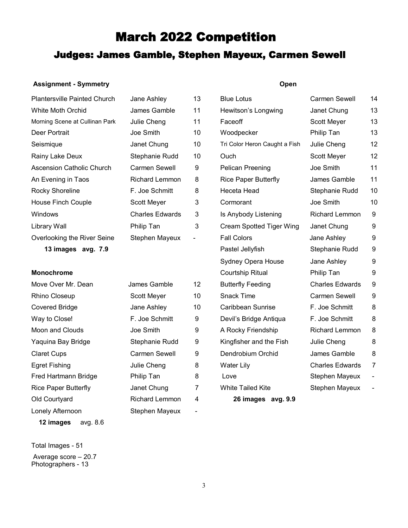# March 2022 Competition

## Judges: James Gamble, Stephen Mayeux, Carmen Sewell

#### **Assignment - Symmetry**

#### **Open**

| <b>Plantersville Painted Church</b> | Jane Ashley            | 13            | <b>Blue Lotus</b>               | Carmen Sewell          | 14                           |
|-------------------------------------|------------------------|---------------|---------------------------------|------------------------|------------------------------|
| <b>White Moth Orchid</b>            | James Gamble           | 11            | Hewitson's Longwing             | Janet Chung            | 13                           |
| Morning Scene at Cullinan Park      | Julie Cheng            | 11            | Faceoff                         | Scott Meyer            | 13                           |
| Deer Portrait                       | Joe Smith              | 10            | Woodpecker                      | Philip Tan             | 13                           |
| Seismique                           | Janet Chung            | 10            | Tri Color Heron Caught a Fish   | Julie Cheng            | 12                           |
| Rainy Lake Deux                     | Stephanie Rudd         | 10            | Ouch                            | Scott Meyer            | 12                           |
| <b>Ascension Catholic Church</b>    | Carmen Sewell          | 9             | Pelican Preening                | Joe Smith              | 11                           |
| An Evening in Taos                  | <b>Richard Lemmon</b>  | 8             | <b>Rice Paper Butterfly</b>     | James Gamble           | 11                           |
| Rocky Shoreline                     | F. Joe Schmitt         | 8             | Heceta Head                     | Stephanie Rudd         | 10                           |
| House Finch Couple                  | Scott Meyer            | 3             | Cormorant                       | Joe Smith              | 10                           |
| Windows                             | <b>Charles Edwards</b> | 3             | Is Anybody Listening            | <b>Richard Lemmon</b>  | 9                            |
| Library Wall                        | Philip Tan             | 3             | <b>Cream Spotted Tiger Wing</b> | Janet Chung            | 9                            |
| Overlooking the River Seine         | Stephen Mayeux         | $\frac{1}{2}$ | <b>Fall Colors</b>              | Jane Ashley            | 9                            |
| 13 images avg. 7.9                  |                        |               | Pastel Jellyfish                | Stephanie Rudd         | 9                            |
|                                     |                        |               | Sydney Opera House              | Jane Ashley            | 9                            |
| <b>Monochrome</b>                   |                        |               | <b>Courtship Ritual</b>         | Philip Tan             | 9                            |
| Move Over Mr. Dean                  | James Gamble           | 12            | <b>Butterfly Feeding</b>        | <b>Charles Edwards</b> | 9                            |
| Rhino Closeup                       | Scott Meyer            | 10            | <b>Snack Time</b>               | <b>Carmen Sewell</b>   | 9                            |
| <b>Covered Bridge</b>               | Jane Ashley            | 10            | Caribbean Sunrise               | F. Joe Schmitt         | 8                            |
| Way to Close!                       | F. Joe Schmitt         | 9             | Devil's Bridge Antiqua          | F. Joe Schmitt         | 8                            |
| Moon and Clouds                     | Joe Smith              | 9             | A Rocky Friendship              | <b>Richard Lemmon</b>  | 8                            |
| Yaquina Bay Bridge                  | Stephanie Rudd         | 9             | Kingfisher and the Fish         | Julie Cheng            | 8                            |
| <b>Claret Cups</b>                  | Carmen Sewell          | 9             | Dendrobium Orchid               | James Gamble           | 8                            |
| <b>Egret Fishing</b>                | Julie Cheng            | 8             | <b>Water Lily</b>               | <b>Charles Edwards</b> | $\overline{7}$               |
| Fred Hartmann Bridge                | Philip Tan             | 8             | Love                            | Stephen Mayeux         | $\blacksquare$               |
| <b>Rice Paper Butterfly</b>         | Janet Chung            | 7             | <b>White Tailed Kite</b>        | Stephen Mayeux         | $\qquad \qquad \blacksquare$ |
| Old Courtyard                       | <b>Richard Lemmon</b>  | 4             | 26 images avg. 9.9              |                        |                              |
|                                     |                        |               |                                 |                        |                              |

Total Images - 51 Average score – 20.7 Photographers - 13

**12 images** avg. 8.6

Lonely Afternoon Stephen Mayeux -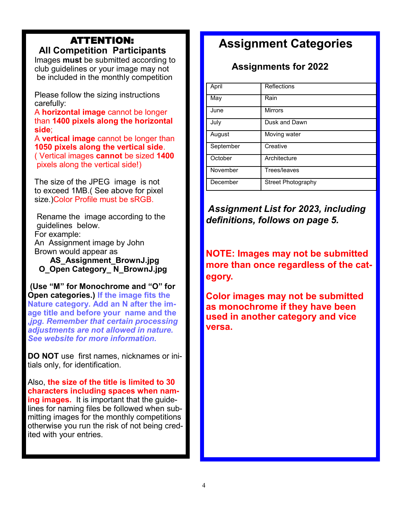### ATTENTION:  **All Competition Participants**

 Images **must** be submitted according to club guidelines or your image may not be included in the monthly competition

 Please follow the sizing instructions carefully:

 A **horizontal image** cannot be longer than **1400 pixels along the horizontal side**;

A **vertical image** cannot be longer than **1050 pixels along the vertical side**. ( Vertical images **cannot** be sized **1400** pixels along the vertical side!)

 The size of the JPEG image is not to exceed 1MB.( See above for pixel size.)Color Profile must be sRGB.

 Rename the image according to the guidelines below. For example: An Assignment image by John Brown would appear as

 **AS\_Assignment\_BrownJ.jpg O\_Open Category\_ N\_BrownJ.jpg**

**(Use "M" for Monochrome and "O" for Open categories.) If the image fits the Nature category. Add an N after the image title and before your name and the**  *,jpg. Remember that certain processing adjustments are not allowed in nature. See website for more information.*

**DO NOT** use first names, nicknames or initials only, for identification.

Also, **the size of the title is limited to 30 characters including spaces when naming images.** It is important that the guidelines for naming files be followed when submitting images for the monthly competitions otherwise you run the risk of not being credited with your entries.

# **Assignment Categories**

# **Assignments for 2022**

| April     | <b>Reflections</b>        |
|-----------|---------------------------|
| May       | Rain                      |
| June      | <b>Mirrors</b>            |
| July      | Dusk and Dawn             |
| August    | Moving water              |
| September | Creative                  |
| October   | Architecture              |
| November  | Trees/leaves              |
| December  | <b>Street Photography</b> |

*Assignment List for 2023, including definitions, follows on page 5.*

**NOTE: Images may not be submitted more than once regardless of the category.** 

**Color images may not be submitted as monochrome if they have been used in another category and vice versa.**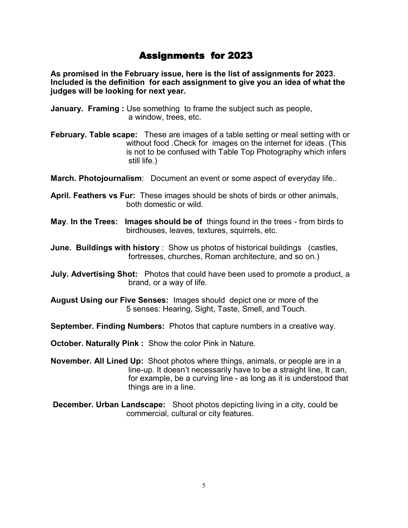## Assignments for 2023

**As promised in the February issue, here is the list of assignments for 2023. Included is the definition for each assignment to give you an idea of what the judges will be looking for next year.**

- **January. Framing :** Use something to frame the subject such as people, a window, trees, etc.
- **February. Table scape:** These are images of a table setting or meal setting with or without food .Check for images on the internet for ideas. (This is not to be confused with Table Top Photography which infers still life.)

**March. Photojournalism**: Document an event or some aspect of everyday life..

- **April. Feathers vs Fur:** These images should be shots of birds or other animals, both domestic or wild.
- **May**. **In the Trees: Images should be of** things found in the trees from birds to birdhouses, leaves, textures, squirrels, etc.
- **June. Buildings with history** : Show us photos of historical buildings (castles, fortresses, churches, Roman architecture, and so on.)
- **July. Advertising Shot:** Photos that could have been used to promote a product, a brand, or a way of life.
- **August Using our Five Senses:** Images should depict one or more of the 5 senses: Hearing, Sight, Taste, Smell, and Touch.
- **September. Finding Numbers:** Photos that capture numbers in a creative way.
- **October. Naturally Pink :** Show the color Pink in Nature.
- **November. All Lined Up:** Shoot photos where things, animals, or people are in a line-up. It doesn't necessarily have to be a straight line, It can, for example, be a curving line - as long as it is understood that things are in a line.
- **December. Urban Landscape:** Shoot photos depicting living in a city, could be commercial, cultural or city features.